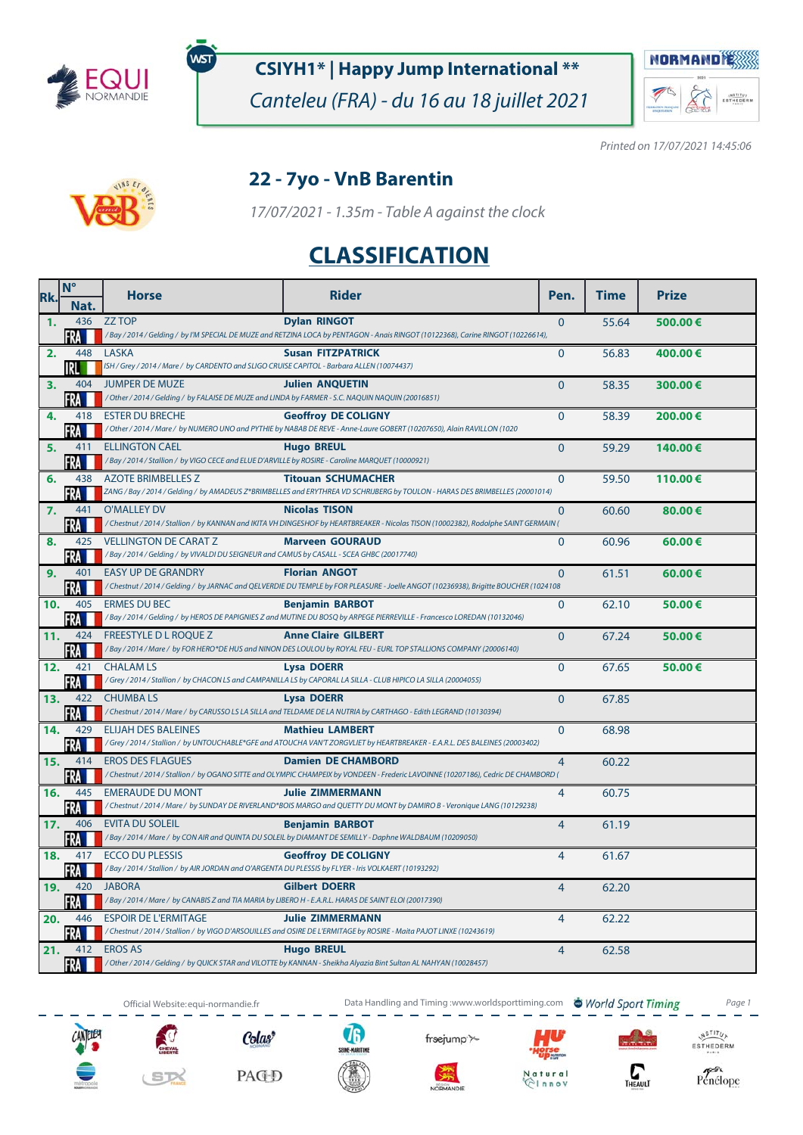

์พรา

## **CSIYH1\* | Happy Jump International \*\***

Canteleu (FRA) - du 16 au 18 juillet 2021



Printed on 17/07/2021 14:45:06



#### **22 - 7yo - VnB Barentin**

17/07/2021 - 1.35m - Table A against the clock

# **CLASSIFICATION**

| Rk.            | $N^{\circ}$ | <b>Horse</b>                                                                                                                          | <b>Rider</b>                                                                                                                                            | Pen.           | <b>Time</b> | <b>Prize</b> |
|----------------|-------------|---------------------------------------------------------------------------------------------------------------------------------------|---------------------------------------------------------------------------------------------------------------------------------------------------------|----------------|-------------|--------------|
|                | Nat.        |                                                                                                                                       |                                                                                                                                                         |                |             |              |
| $\mathbf{1}$ . | 436         | <b>ZZ TOP</b>                                                                                                                         | <b>Dylan RINGOT</b><br>/Bay / 2014 / Gelding / by I'M SPECIAL DE MUZE and RETZINA LOCA by PENTAGON - Anais RINGOT (10122368), Carine RINGOT (10226614), | $\mathbf{0}$   | 55.64       | 500.00€      |
| 2.             | 448         | <b>LASKA</b>                                                                                                                          | <b>Susan FITZPATRICK</b>                                                                                                                                | $\Omega$       | 56.83       | 400.00€      |
|                | IRLI        | ISH / Grey / 2014 / Mare / by CARDENTO and SLIGO CRUISE CAPITOL - Barbara ALLEN (10074437)                                            |                                                                                                                                                         |                |             |              |
| 3.             | 404         | <b>JUMPER DE MUZE</b>                                                                                                                 | <b>Julien ANQUETIN</b>                                                                                                                                  | $\Omega$       | 58.35       | 300.00€      |
|                | FRA         | / Other / 2014 / Gelding / by FALAISE DE MUZE and LINDA by FARMER - S.C. NAQUIN NAQUIN (20016851)                                     |                                                                                                                                                         |                |             |              |
| 4.             | 418         | <b>ESTER DU BRECHE</b>                                                                                                                | <b>Geoffroy DE COLIGNY</b>                                                                                                                              | $\Omega$       | 58.39       | 200.00€      |
|                | FRA         |                                                                                                                                       | / Other / 2014 / Mare / by NUMERO UNO and PYTHIE by NABAB DE REVE - Anne-Laure GOBERT (10207650), Alain RAVILLON (1020                                  |                |             |              |
| 5.             | 411<br>FRA  | <b>ELLINGTON CAEL</b><br>/Bay / 2014 / Stallion / by VIGO CECE and ELUE D'ARVILLE by ROSIRE - Caroline MARQUET (10000921)             | <b>Hugo BREUL</b>                                                                                                                                       | $\mathbf 0$    | 59.29       | 140.00€      |
| 6.             | 438         | <b>AZOTE BRIMBELLES Z</b>                                                                                                             | <b>Titouan SCHUMACHER</b>                                                                                                                               | $\mathbf{0}$   | 59.50       | 110.00€      |
|                | FRA         |                                                                                                                                       | ZANG / Bay / 2014 / Gelding / by AMADEUS Z*BRIMBELLES and ERYTHREA VD SCHRIJBERG by TOULON - HARAS DES BRIMBELLES (20001014)                            |                |             |              |
| 7.             | 441         | <b>O'MALLEY DV</b>                                                                                                                    | <b>Nicolas TISON</b>                                                                                                                                    | $\mathbf{0}$   | 60.60       | 80.00€       |
|                | FRA         |                                                                                                                                       | / Chestnut / 2014 / Stallion / by KANNAN and IKITA VH DINGESHOF by HEARTBREAKER - Nicolas TISON (10002382), Rodolphe SAINT GERMAIN (                    |                |             |              |
| 8.             | 425         | <b>VELLINGTON DE CARAT Z</b>                                                                                                          | <b>Marveen GOURAUD</b>                                                                                                                                  | $\Omega$       | 60.96       | 60.00 €      |
|                | FRA<br>401  | /Bay / 2014 / Gelding / by VIVALDI DU SEIGNEUR and CAMUS by CASALL - SCEA GHBC (20017740)<br><b>EASY UP DE GRANDRY</b>                |                                                                                                                                                         |                |             |              |
| 9.             | FRA         |                                                                                                                                       | <b>Florian ANGOT</b><br>/Chestnut/2014/Gelding/by JARNAC and QELVERDIE DU TEMPLE by FOR PLEASURE - Joelle ANGOT (10236938), Brigitte BOUCHER (1024108   | $\Omega$       | 61.51       | 60.00€       |
| 10.            | 405         | <b>ERMES DU BEC</b>                                                                                                                   | <b>Benjamin BARBOT</b>                                                                                                                                  | $\Omega$       | 62.10       | 50.00€       |
|                | FRA         |                                                                                                                                       | /Bay / 2014 / Gelding / by HEROS DE PAPIGNIES Z and MUTINE DU BOSQ by ARPEGE PIERREVILLE - Francesco LOREDAN (10132046)                                 |                |             |              |
| 11.            | 424         | <b>FREESTYLE D L ROOUE Z</b>                                                                                                          | <b>Anne Claire GILBERT</b>                                                                                                                              | $\Omega$       | 67.24       | 50.00€       |
|                | FRA         |                                                                                                                                       | /Bay / 2014 / Mare / by FOR HERO*DE HUS and NINON DES LOULOU by ROYAL FEU - EURL TOP STALLIONS COMPANY (20006140)                                       |                |             |              |
| 12.            | 421         | <b>CHALAM LS</b>                                                                                                                      | <b>Lysa DOERR</b><br>/Grey / 2014 / Stallion / by CHACON LS and CAMPANILLA LS by CAPORAL LA SILLA - CLUB HIPICO LA SILLA (20004055)                     | $\overline{0}$ | 67.65       | 50.00€       |
| 13.            | FRA<br>422  | <b>CHUMBALS</b>                                                                                                                       | <b>Lysa DOERR</b>                                                                                                                                       | $\Omega$       | 67.85       |              |
|                | FRA         |                                                                                                                                       | / Chestnut / 2014 / Mare / by CARUSSO LS LA SILLA and TELDAME DE LA NUTRIA by CARTHAGO - Edith LEGRAND (10130394)                                       |                |             |              |
| 14.            | 429         | <b>ELIJAH DES BALEINES</b>                                                                                                            | <b>Mathieu LAMBERT</b>                                                                                                                                  | $\mathbf{0}$   | 68.98       |              |
|                | FRA         |                                                                                                                                       | /Grey / 2014 / Stallion / by UNTOUCHABLE*GFE and ATOUCHA VAN'T ZORGVLIET by HEARTBREAKER - E.A.R.L. DES BALEINES (20003402)                             |                |             |              |
| 15.            | 414         | <b>EROS DES FLAGUES</b>                                                                                                               | <b>Damien DE CHAMBORD</b>                                                                                                                               | $\overline{4}$ | 60.22       |              |
|                | FRA         |                                                                                                                                       | / Chestnut / 2014 / Stallion / by OGANO SITTE and OLYMPIC CHAMPEIX by VONDEEN - Frederic LAVOINNE (10207186), Cedric DE CHAMBORD (                      |                |             |              |
| 16.            | 445<br>FRA  | <b>EMERAUDE DU MONT</b>                                                                                                               | <b>Julie ZIMMERMANN</b><br>/ Chestnut / 2014 / Mare / by SUNDAY DE RIVERLAND*BOIS MARGO and QUETTY DU MONT by DAMIRO B - Veronique LANG (10129238)      | 4              | 60.75       |              |
| 17.            | 406         | <b>EVITA DU SOLEIL</b>                                                                                                                | <b>Benjamin BARBOT</b>                                                                                                                                  | $\overline{4}$ | 61.19       |              |
|                | FRA         |                                                                                                                                       | / Bay / 2014 / Mare / by CON AIR and QUINTA DU SOLEIL by DIAMANT DE SEMILLY - Daphne WALDBAUM (10209050)                                                |                |             |              |
| 18.            | 417         | <b>ECCO DU PLESSIS</b>                                                                                                                | <b>Geoffroy DE COLIGNY</b>                                                                                                                              | $\overline{4}$ | 61.67       |              |
|                | FRA         | /Bay / 2014 / Stallion / by AIR JORDAN and O'ARGENTA DU PLESSIS by FLYER - Iris VOLKAERT (10193292)                                   |                                                                                                                                                         |                |             |              |
| 19.            | 420         | <b>JABORA</b>                                                                                                                         | <b>Gilbert DOERR</b>                                                                                                                                    | $\overline{4}$ | 62.20       |              |
|                | FRA         | / Bay / 2014 / Mare / by CANABIS Z and TIA MARIA by LIBERO H - E.A.R.L. HARAS DE SAINT ELOI (20017390)<br><b>ESPOIR DE L'ERMITAGE</b> |                                                                                                                                                         |                |             |              |
| 20.            | 446<br>FRA  |                                                                                                                                       | <b>Julie ZIMMERMANN</b><br>/ Chestnut / 2014 / Stallion / by VIGO D'ARSOUILLES and OSIRE DE L'ERMITAGE by ROSIRE - Maita PAJOT LINXE (10243619)         | $\overline{4}$ | 62.22       |              |
| 21.            | 412         | <b>EROS AS</b>                                                                                                                        | <b>Hugo BREUL</b>                                                                                                                                       | $\overline{4}$ | 62.58       |              |
|                | FRA I       |                                                                                                                                       | / Other / 2014 / Gelding / by QUICK STAR and VILOTTE by KANNAN - Sheikha Alyazia Bint Sultan AL NAHYAN (10028457)                                       |                |             |              |









Colas<sup>\*</sup>

**UB** 

frsejump<sup>-</sup>

NORMANDE



nnov



 $\begin{matrix} \sqrt{N} \frac{S}{T} & T \\ \sqrt{N} & T\end{matrix}$